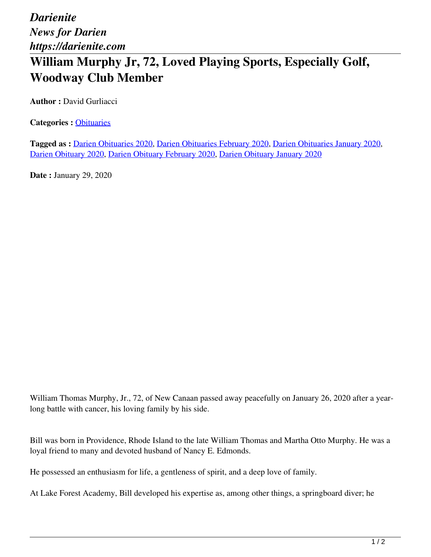*Darienite News for Darien https://darienite.com*

## **William Murphy Jr, 72, Loved Playing Sports, Especially Golf, Woodway Club Member**

**Author :** David Gurliacci

**Categories :** [Obituaries](https://darienite.com/category/obituaries)

**Tagged as :** Darien Obituaries 2020, Darien Obituaries February 2020, Darien Obituaries January 2020, Darien Obituary 2020, Darien Obituary February 2020, Darien Obituary January 2020

**Date :** January 29, 2020

William Thomas Murphy, Jr., 72, of New Canaan passed away peacefully on January 26, 2020 after a yearlong battle with cancer, his loving family by his side.

Bill was born in Providence, Rhode Island to the late William Thomas and Martha Otto Murphy. He was a loyal friend to many and devoted husband of Nancy E. Edmonds.

He possessed an enthusiasm for life, a gentleness of spirit, and a deep love of family.

At Lake Forest Academy, Bill developed his expertise as, among other things, a springboard diver; he